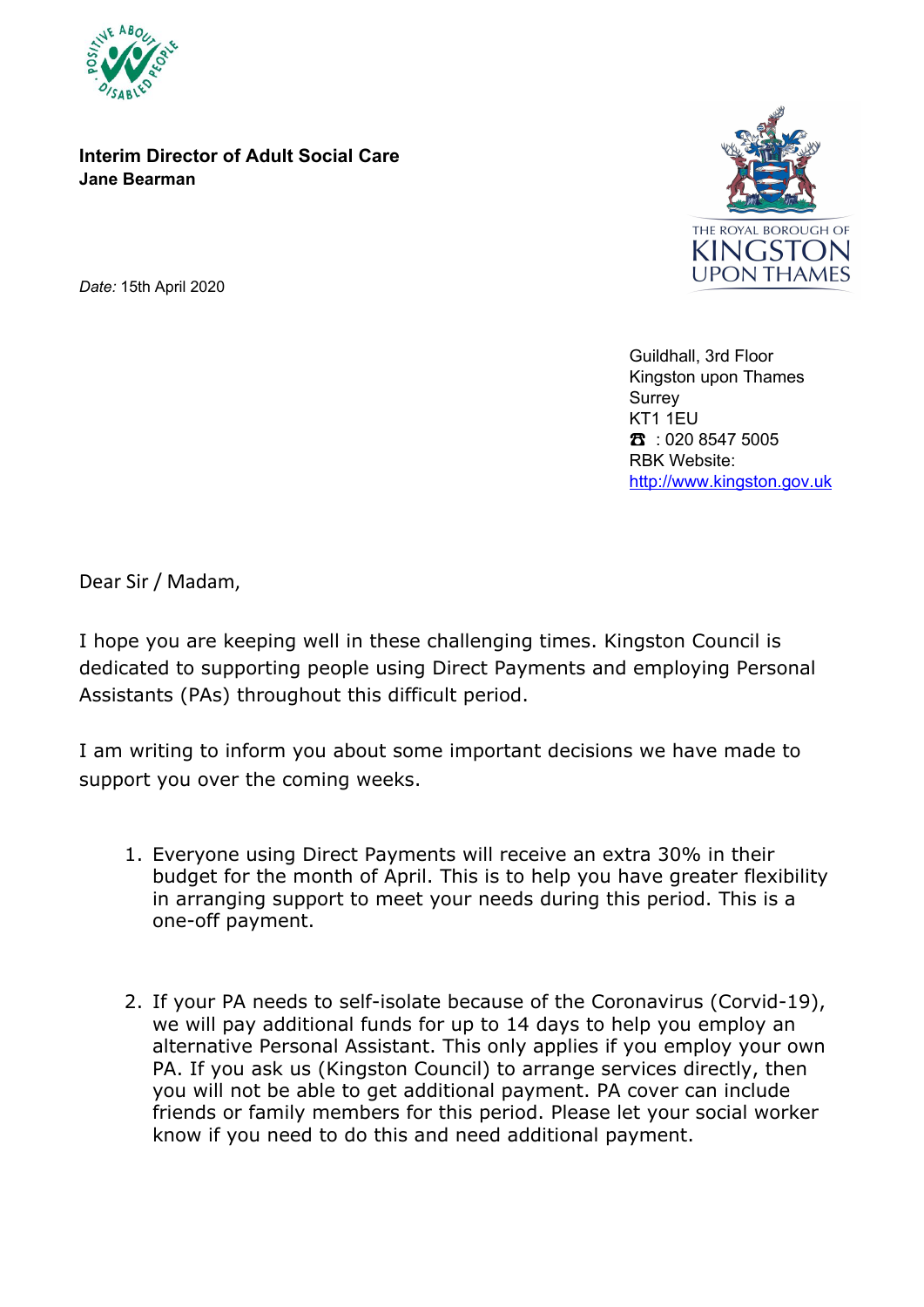

**Interim Director of Adult Social Care Jane Bearman**



*Date:* 15th April 2020

Guildhall, 3rd Floor Kingston upon Thames Surrey KT1 1EU ☎ : 020 8547 5005 RBK Website: http://www.kingston.gov.uk

Dear Sir / Madam,

I hope you are keeping well in these challenging times. Kingston Council is dedicated to supporting people using Direct Payments and employing Personal Assistants (PAs) throughout this difficult period.

I am writing to inform you about some important decisions we have made to support you over the coming weeks.

- 1. Everyone using Direct Payments will receive an extra 30% in their budget for the month of April. This is to help you have greater flexibility in arranging support to meet your needs during this period. This is a one-off payment.
- 2. If your PA needs to self-isolate because of the Coronavirus (Corvid-19), we will pay additional funds for up to 14 days to help you employ an alternative Personal Assistant. This only applies if you employ your own PA. If you ask us (Kingston Council) to arrange services directly, then you will not be able to get additional payment. PA cover can include friends or family members for this period. Please let your social worker know if you need to do this and need additional payment.